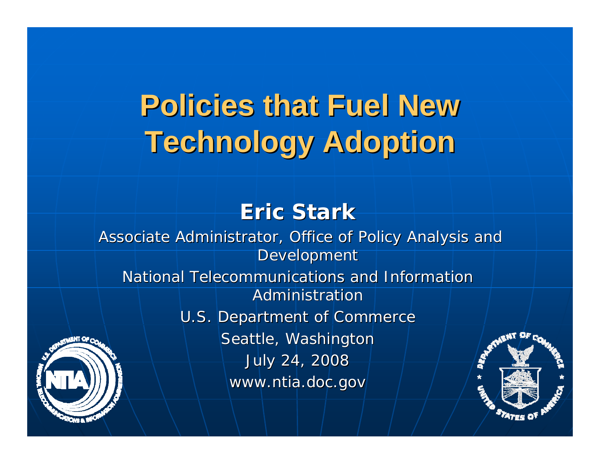## **Policies that Fuel New Policies that Fuel NewTechnology Adoption Technology Adoption**

### **Eric Stark Eric Stark**

Associate Administrator, Office of Policy Analysis and **Development** 

National Telecommunications and Information Administration

U.S. Department of Commerce

Seattle, Washington July 24, 2008 July 24, 2008 www.ntia.doc.gov



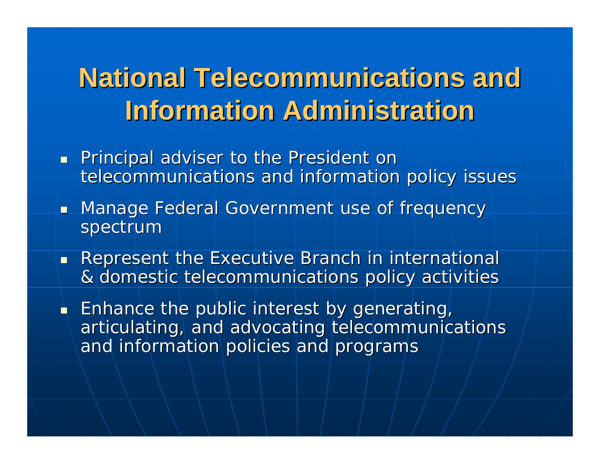## **National Telecommunications and Information Administration Information Administration**

- **Principal adviser to the President on Principal adviser to the President on** telecommunications and information policy issues
- **Manage Federal Government use of frequency** spectrum
- **Represent the Executive Branch in international** & domestic telecommunications policy activities  $\,$
- $\blacksquare$  Enhance the public interest by generating, articulating, and advocating telecommunications and information policies and programs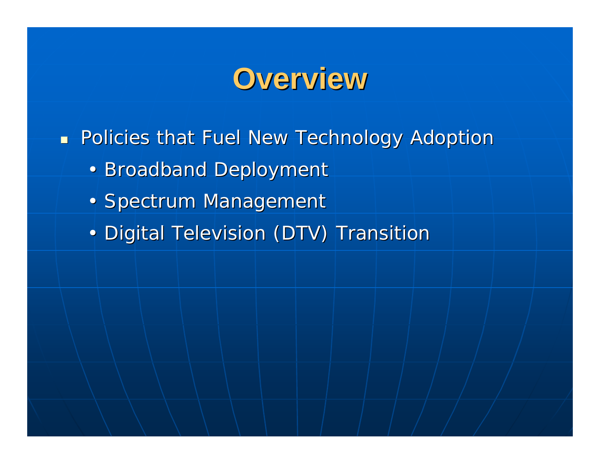## **Overview Overview**

**Policies that Fuel New Technology Adoption** 

- Broadband Deployment
- Spectrum Management
- Digital Television (DTV) Transition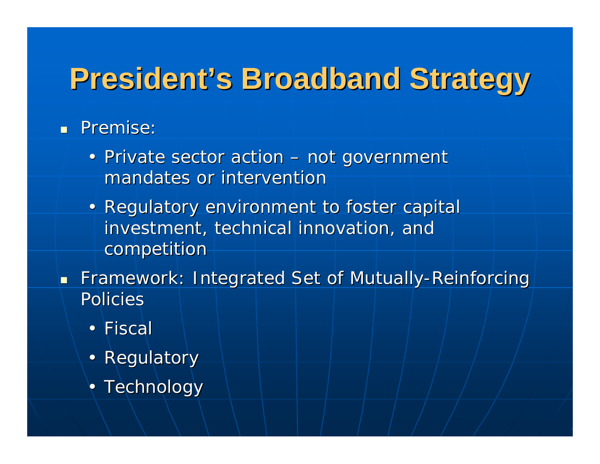## **President's Broadband Strategy**

### **Remise:** Premise:

- Private sector action not government mandates or intervention
- Regulatory environment to foster capital investment, technical innovation, and competition
- **Framework: Integrated Set of Mutually-Reinforcing** Policies
	- Fiscal
	- Regulatory
	- $\bullet$  Technology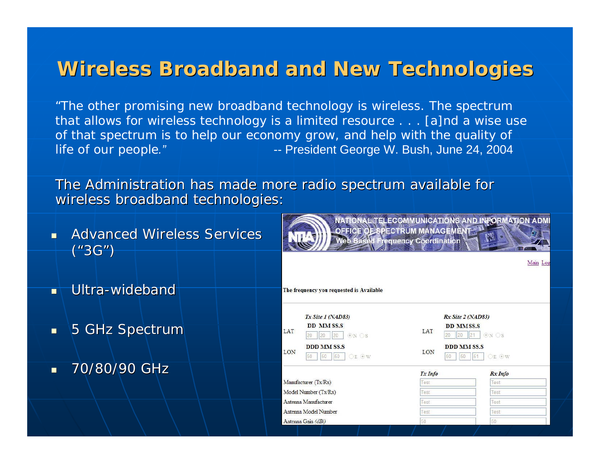### **Wireless Broadband and New Technologies Wireless Broadband and New Technologies**

*"The other promising new broadband technology is wireless. The spectrum that allows for wireless technology is a limited resource . . . [a]nd a wise use of that spectrum is to help our economy grow, and help with the quality of life of our people.*<sup>*"*</sup> -- President George W. Bush, June 24, 2004

The Administration has made more radio spectrum available for wireless broadband technologies:

L

- п Advanced Wireless Services ("3G")
- $\blacksquare$ Ultra-wideband
- $\blacksquare$ 5 GHz Spectrum
- $\overline{\phantom{0}}$ 70/80/90 GHz 70/80/90 GHz

|                        |                                                                         | <b>Web Based Frequency Coordination</b>              |                            | Main Log |  |
|------------------------|-------------------------------------------------------------------------|------------------------------------------------------|----------------------------|----------|--|
|                        | he frequency you requested is Available                                 |                                                      |                            |          |  |
|                        | $Tx$ Site 1 ( $NAD83$ )                                                 | Rx Site 2 (NAD83)                                    |                            |          |  |
| AT                     | <b>DD MM SS.S</b><br>$\odot$ N $\odot$ S<br>20<br>20<br>20 <sup>2</sup> | <b>DD MMSS.S</b><br>LAT<br>20<br>20                  | $\odot$ N $\odot$ S<br> 21 |          |  |
| ON                     | <b>DDD MM SS.S</b><br>OE OW<br>50<br>50<br>50                           | <b>DDD MM SS.S</b><br>LON<br>OE OW<br>50<br>50<br>51 |                            |          |  |
|                        |                                                                         | Tx Info                                              | Rx Info                    |          |  |
| fanufacturer (Tx/Rx)   |                                                                         | Test                                                 | Test                       |          |  |
| fodel Number (Tx/Rx)   |                                                                         | Test                                                 | Test                       |          |  |
| ntenna Manufacturer    |                                                                         | Test                                                 | Test                       |          |  |
| intenna Model Number   |                                                                         | Test                                                 | Test                       |          |  |
| $n$ tenna Gain $(dRi)$ |                                                                         | <b>En</b>                                            | $50 -$                     |          |  |

NATIONAL TELECOMMUNICATIONS AND INSORMATION ADMI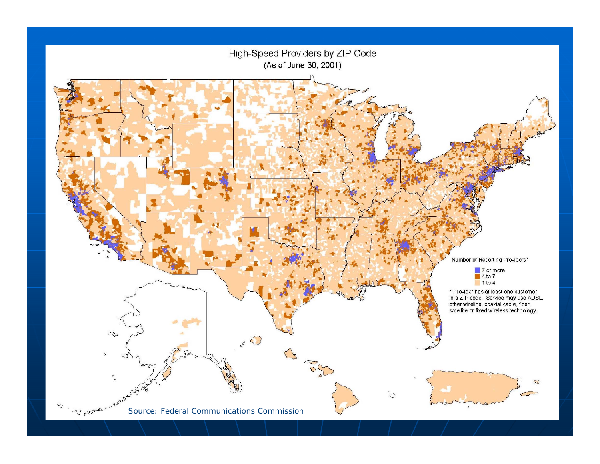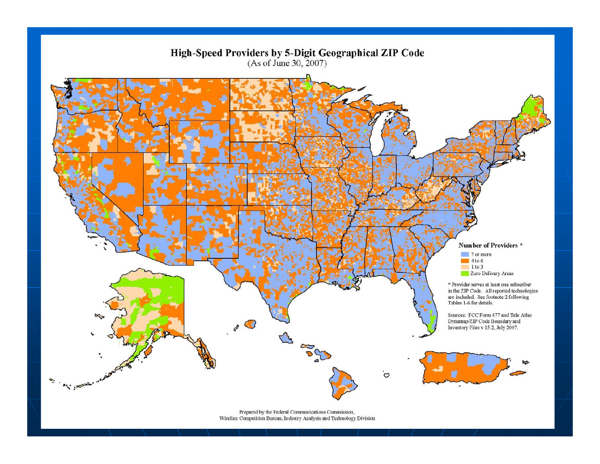

Prepared by the Federal Communications Commission, Wireline Competition Bureau, Industry Analysis and Technology Division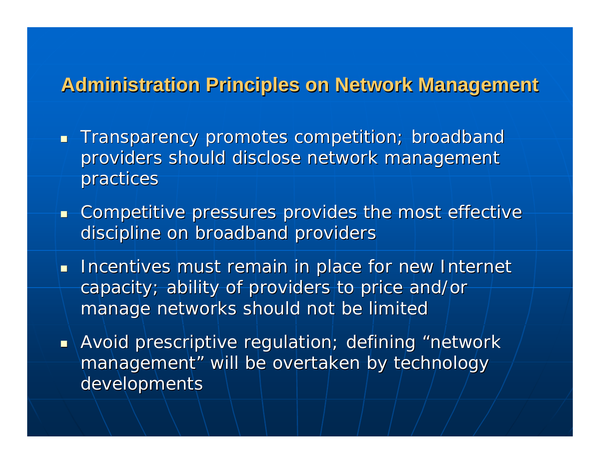### **Administration Principles on Network Management Administration Principles on Network Management**

- $\blacksquare$  Transparency promotes competition; broadbandproviders should disclose network management practices
- $\blacksquare$  Competitive pressures provides the most effective  $\blacksquare$ discipline on broadband providers
- **Incentives must remain in place for new Internet** capacity; ability of providers to price and/or capacity; ability of providers to price and/or manage networks should not be limited
- $\textcolor{red}{\bullet}$  Avoid prescriptive regulation; defining "network i management" will be overtaken by technologydevelopments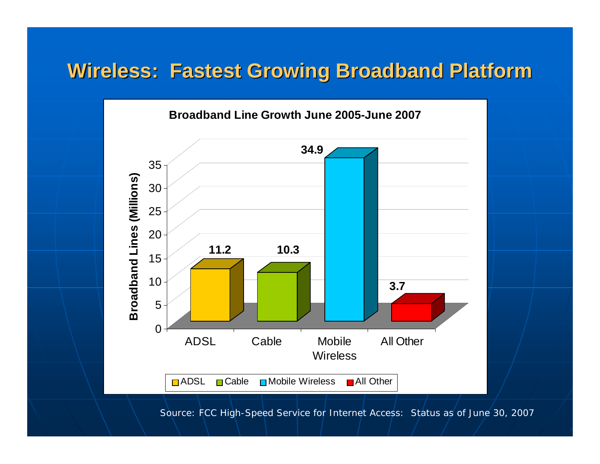### **Wireless: Fastest Growing Broadband Platform Wireless: Fastest Growing Broadband Platform**



Source: FCC *High-Speed Service for Internet Access: Status as of June 30, 2007*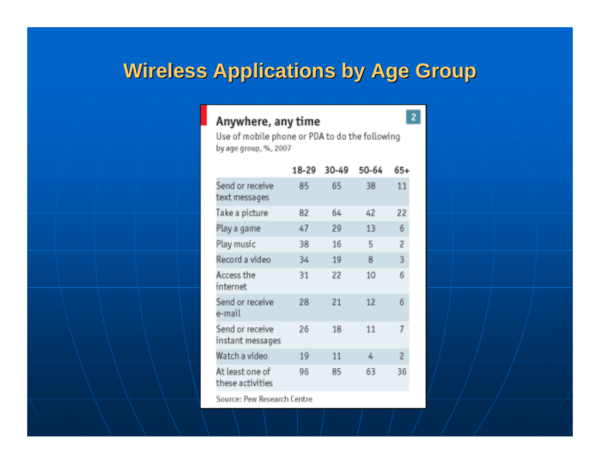### **Wireless Applications by Age Group Wireless Applications by Age Group**

#### Anywhere, any time

Use of mobile phone or PDA to do the following by age group, %, 2007

 $\overline{2}$ 

|                                     | 18-29 | 30-49 | 50-64 | $65+$ |
|-------------------------------------|-------|-------|-------|-------|
| Send or receive<br>text messages    | 85    | 65    | 38    | 11    |
| Take a picture                      | 82    | 64    | 42    | 22    |
| Play a game                         | 47    | 29    | 13    | 6     |
| Play music                          | 38    | 16    | 5     | 2     |
| Record a video                      | 34    | 19    | 8     | 3     |
| Access the<br>internet              | 31    | 22    | 10    | 6     |
| Send or receive<br>e-mail           | 28    | 21    | 12    | 6.    |
| Send or receive<br>instant messages | 26    | 18    | 11    | 7     |
| Watch a video                       | 19    | 11    | 4     | 2     |
| At least one of<br>these activities | 96    | 85    | 63    | 36    |
|                                     |       |       |       |       |

Source: Pew Research Centre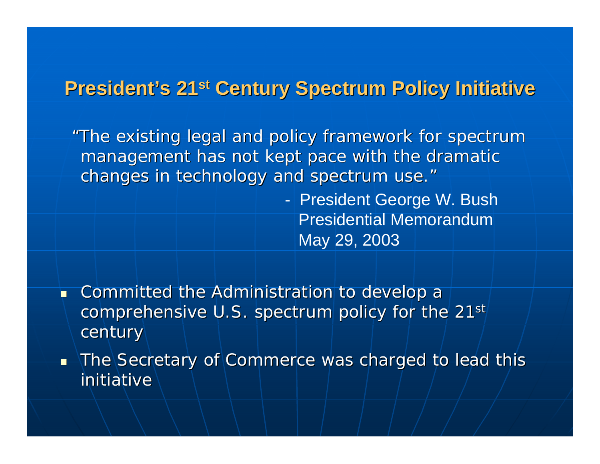### **President's 21st Century Spectrum Policy Initiative**

*"The existing legal and policy framework for spectrum The existing legal and policy framework for spectrum management has not kept pace with the dramatic management has not kept pace with the dramatic changes in technology and spectrum use. changes in technology and spectrum use."*

> - President George W. Bush Presidential Memorandum May 29, 2003

П Committed the Administration to develop a comprehensive U.S. spectrum policy for the  $21^{st}$ century

 $\blacksquare$  The Secretary of Commerce was charged to lead this  $\blacksquare$ initiative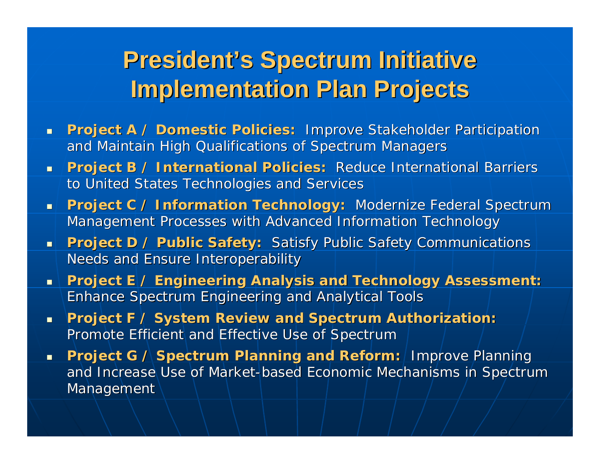## **President's Spectrum Initiative Implementation Plan Projects Implementation Plan Projects**

- *Project A / Domestic Policies: Project A / Domestic Policies:* Improve Stakeholder Participation prove Participation and Maintain High Qualifications of Spectrum Managers
- **Project B / International Policies:** Reduce International Barriers Reduce International Barriers to United States Technologies and Services
- **Project C / Information Technology: Modernize Federal Spectrum &** Management Processes with Advanced Information Technology
- **Project D / Public Safety:** Satisfy Public Safety Communications **Needs and Ensure Interoperability**
- **Project E / Engineering Analysis and Technology Assessment.** Enhance Spectrum Engineering and Analytical Tools
- *Project F / System Review and Spectrum Authorization: Project F / System Review and Spectrum Authorization:*  Promote Efficient and Effective Use of Spectrum
- **Project G / Spectrum Planning and Reform:** Improve Planning and Increase Use of Market-based Economic Mechanisms in Spectrum Management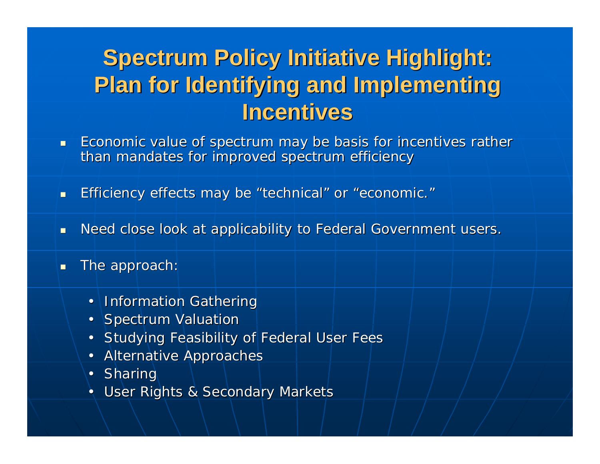## **Spectrum Policy Initiative Highlight: Spectrum Policy Initiative Highlight: Plan for Identifying and Implementing Plan for Identifying and Implementing Incentives Incentives**

- п Economic value of spectrum may be basis for incentives rather than mandates for improved spectrum efficiency
- $\blacksquare$  $\blacksquare$  Efficiency effects may be "technical" or "economic. "
- $\blacksquare$ Need close look at applicability to Federal Government users.
- $\blacksquare$ The approach:
	- •Information Gathering
	- Spectrum Valuation
	- •Studying Feasibility of Federal User Fees
	- •**Alternative Approaches**
	- Sharing
	- •User Rights & Secondary Markets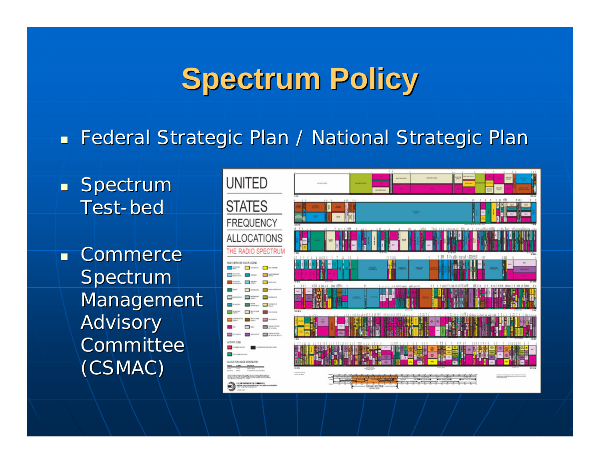## **Spectrum Policy Spectrum Policy**

 $\blacksquare$  Federal Strategic Plan / National Strategic Plan

 $\blacksquare$  Spectrum Test -bed

 $\blacksquare$  Commerce Spectrum Management Advisory **Committee** (CSMAC) (CSMAC)

**UNITED STATES FREQUENCY ALLOCATIONS** THE RADIO SPECTRU **BAND GROUPES PEACH LISTING Contract Contractor Contract Contract Contractor** O **NISSANSKIMAS BREGANSK STRAIGHT AND COMMUNICATIONS** 

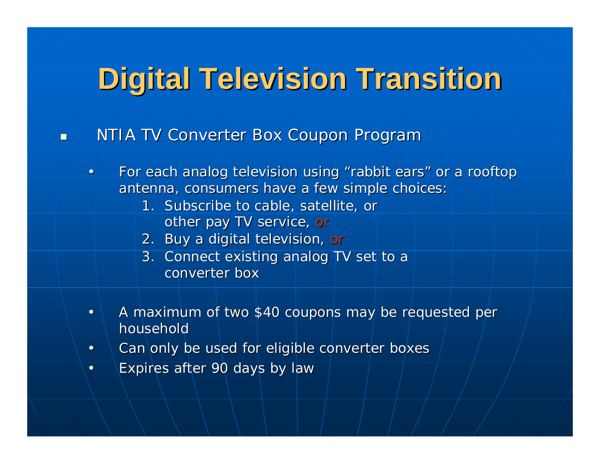## **Digital Television Transition Digital Television Transition**

NTIA TV Converter Box Coupon Program

n

- $\bullet$ • For each analog television using "rabbit ears" or a rooftop antenna, consumers have a few simple choices:
	- 1. Subscribe to cable, satellite, or other pay TV service, *or*
	- 2. Buy a digital television, Buy a digital television, *or*
	- 3. Connect existing analog TV set to a converter box
- •A maximum of two \$40 coupons may be requested per household
- •Can only be used for eligible converter boxes
- •Expires after 90 days by law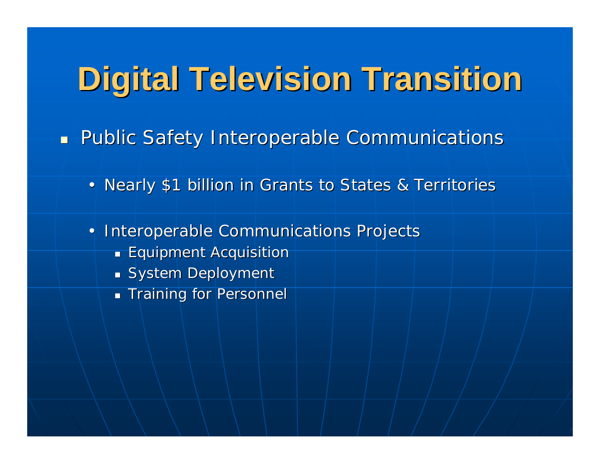# **Digital Television Transition Digital Television Transition**

 $\blacksquare$ Public Safety Interoperable Communications

- Nearly \$1 billion in Grants to States & Territories
- Interoperable Communications Projects
	- $\blacksquare$  Equipment Acquisition
	- $\blacksquare$  System Deployment
	- $\blacksquare$  Training for Personnel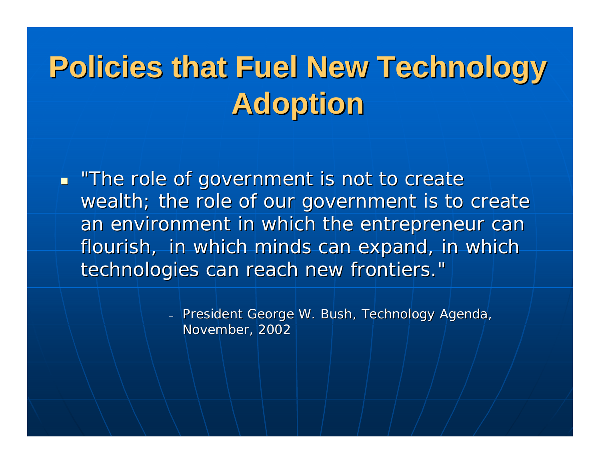# **Policies that Fuel New Technology Policies that Fuel New Technology Adoption Adoption**

 *"The role of government is not to create "The role of government is not to create*  wealth; the role of our government is to create an environment in which the entrepreneur can *flourish, flourish, in which minds can expand, in which in which minds can expand, in which*  technologies can reach new frontiers."

> President George W. Bush, Technology Agenda, November, 2002